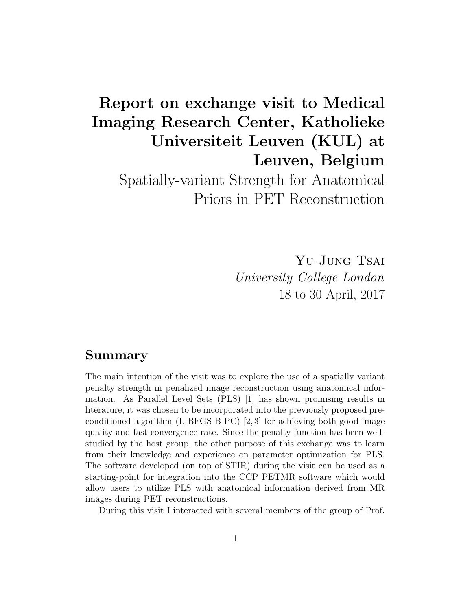# Report on exchange visit to Medical Imaging Research Center, Katholieke Universiteit Leuven (KUL) at Leuven, Belgium

Spatially-variant Strength for Anatomical Priors in PET Reconstruction

> YU-JUNG TSAI University College London 18 to 30 April, 2017

## Summary

The main intention of the visit was to explore the use of a spatially variant penalty strength in penalized image reconstruction using anatomical information. As Parallel Level Sets (PLS) [1] has shown promising results in literature, it was chosen to be incorporated into the previously proposed preconditioned algorithm  $(L-BFGS-B-PC)$  [2,3] for achieving both good image quality and fast convergence rate. Since the penalty function has been wellstudied by the host group, the other purpose of this exchange was to learn from their knowledge and experience on parameter optimization for PLS. The software developed (on top of STIR) during the visit can be used as a starting-point for integration into the CCP PETMR software which would allow users to utilize PLS with anatomical information derived from MR images during PET reconstructions.

During this visit I interacted with several members of the group of Prof.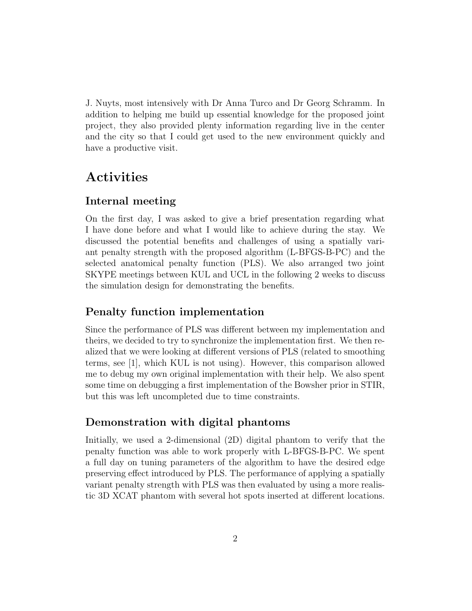J. Nuyts, most intensively with Dr Anna Turco and Dr Georg Schramm. In addition to helping me build up essential knowledge for the proposed joint project, they also provided plenty information regarding live in the center and the city so that I could get used to the new environment quickly and have a productive visit.

## Activities

#### Internal meeting

On the first day, I was asked to give a brief presentation regarding what I have done before and what I would like to achieve during the stay. We discussed the potential benefits and challenges of using a spatially variant penalty strength with the proposed algorithm (L-BFGS-B-PC) and the selected anatomical penalty function (PLS). We also arranged two joint SKYPE meetings between KUL and UCL in the following 2 weeks to discuss the simulation design for demonstrating the benefits.

### Penalty function implementation

Since the performance of PLS was different between my implementation and theirs, we decided to try to synchronize the implementation first. We then realized that we were looking at different versions of PLS (related to smoothing terms, see [1], which KUL is not using). However, this comparison allowed me to debug my own original implementation with their help. We also spent some time on debugging a first implementation of the Bowsher prior in STIR, but this was left uncompleted due to time constraints.

#### Demonstration with digital phantoms

Initially, we used a 2-dimensional (2D) digital phantom to verify that the penalty function was able to work properly with L-BFGS-B-PC. We spent a full day on tuning parameters of the algorithm to have the desired edge preserving effect introduced by PLS. The performance of applying a spatially variant penalty strength with PLS was then evaluated by using a more realistic 3D XCAT phantom with several hot spots inserted at different locations.